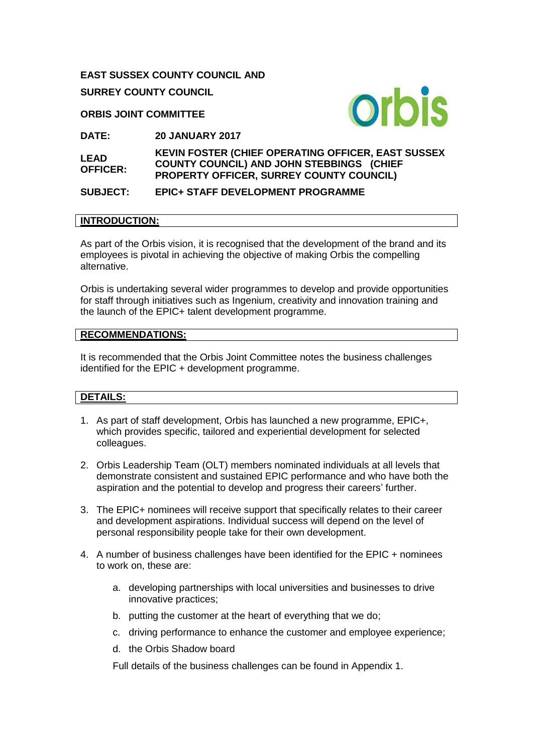**EAST SUSSEX COUNTY COUNCIL AND SURREY COUNTY COUNCIL**

**ORBIS JOINT COMMITTEE**



**DATE: 20 JANUARY 2017**

**LEAD OFFICER: KEVIN FOSTER (CHIEF OPERATING OFFICER, EAST SUSSEX COUNTY COUNCIL) AND JOHN STEBBINGS (CHIEF PROPERTY OFFICER, SURREY COUNTY COUNCIL)** 

## **SUBJECT: EPIC+ STAFF DEVELOPMENT PROGRAMME**

#### **INTRODUCTION:**

As part of the Orbis vision, it is recognised that the development of the brand and its employees is pivotal in achieving the objective of making Orbis the compelling alternative.

Orbis is undertaking several wider programmes to develop and provide opportunities for staff through initiatives such as Ingenium, creativity and innovation training and the launch of the EPIC+ talent development programme.

#### **RECOMMENDATIONS:**

It is recommended that the Orbis Joint Committee notes the business challenges identified for the EPIC + development programme.

#### **DETAILS:**

- 1. As part of staff development, Orbis has launched a new programme, EPIC+, which provides specific, tailored and experiential development for selected colleagues.
- 2. Orbis Leadership Team (OLT) members nominated individuals at all levels that demonstrate consistent and sustained EPIC performance and who have both the aspiration and the potential to develop and progress their careers' further.
- 3. The EPIC+ nominees will receive support that specifically relates to their career and development aspirations. Individual success will depend on the level of personal responsibility people take for their own development.
- 4. A number of business challenges have been identified for the EPIC + nominees to work on, these are:
	- a. developing partnerships with local universities and businesses to drive innovative practices;
	- b. putting the customer at the heart of everything that we do;
	- c. driving performance to enhance the customer and employee experience;
	- d. the Orbis Shadow board

Full details of the business challenges can be found in Appendix 1.